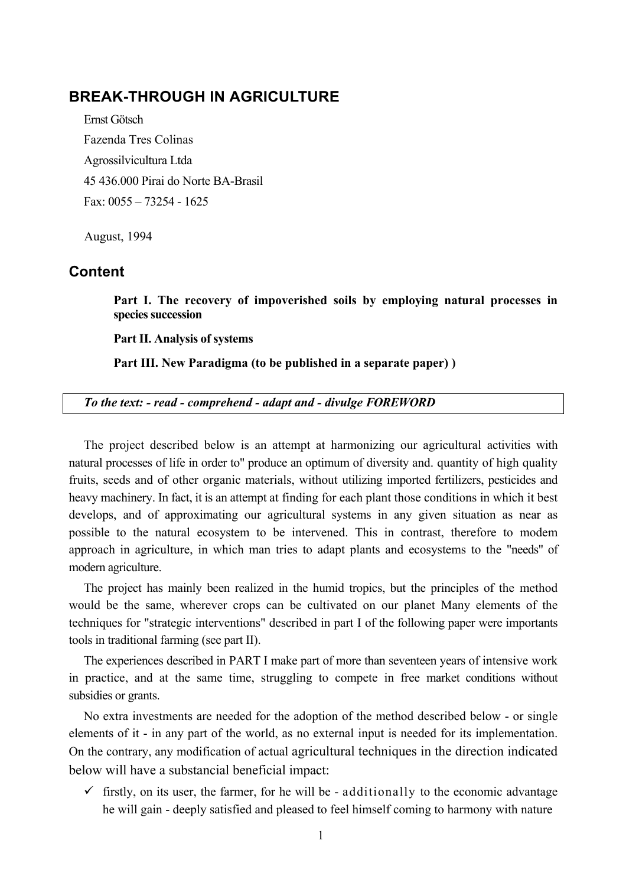# **BREAK-THROUGH IN AGRICULTURE**

Ernst Götsch Fazenda Tres Colinas Agrossilvicultura Ltda 45 436.000 Pirai do Norte BA-Brasil Fax: 0055 – 73254 - 1625

August, 1994

# **Content**

**Part I. The recovery of impoverished soils by employing natural processes in species succession**

**Part II. Analysis of systems**

**Part III. New Paradigma (to be published in a separate paper) )**

*To the text: - read - comprehend - adapt and - divulge FOREWORD*

The project described below is an attempt at harmonizing our agricultural activities with natural processes of life in order to" produce an optimum of diversity and. quantity of high quality fruits, seeds and of other organic materials, without utilizing imported fertilizers, pesticides and heavy machinery. In fact, it is an attempt at finding for each plant those conditions in which it best develops, and of approximating our agricultural systems in any given situation as near as possible to the natural ecosystem to be intervened. This in contrast, therefore to modem approach in agriculture, in which man tries to adapt plants and ecosystems to the "needs" of modern agriculture.

The project has mainly been realized in the humid tropics, but the principles of the method would be the same, wherever crops can be cultivated on our planet Many elements of the techniques for "strategic interventions" described in part I of the following paper were importants tools in traditional farming (see part II).

The experiences described in PART I make part of more than seventeen years of intensive work in practice, and at the same time, struggling to compete in free market conditions without subsidies or grants.

No extra investments are needed for the adoption of the method described below - or single elements of it - in any part of the world, as no external input is needed for its implementation. On the contrary, any modification of actual agricultural techniques in the direction indicated below will have a substancial beneficial impact:

 $\checkmark$  firstly, on its user, the farmer, for he will be - additionally to the economic advantage he will gain - deeply satisfied and pleased to feel himself coming to harmony with nature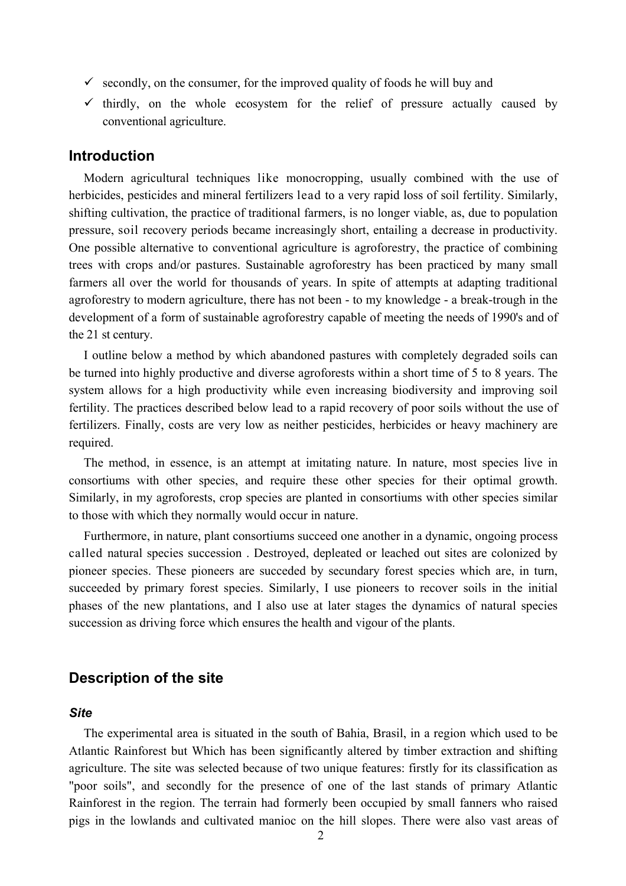- $\checkmark$  secondly, on the consumer, for the improved quality of foods he will buy and
- $\checkmark$  thirdly, on the whole ecosystem for the relief of pressure actually caused by conventional agriculture.

### **Introduction**

Modern agricultural techniques like monocropping, usually combined with the use of herbicides, pesticides and mineral fertilizers lead to a very rapid loss of soil fertility. Similarly, shifting cultivation, the practice of traditional farmers, is no longer viable, as, due to population pressure, soil recovery periods became increasingly short, entailing a decrease in productivity. One possible alternative to conventional agriculture is agroforestry, the practice of combining trees with crops and/or pastures. Sustainable agroforestry has been practiced by many small farmers all over the world for thousands of years. In spite of attempts at adapting traditional agroforestry to modern agriculture, there has not been - to my knowledge - a break-trough in the development of a form of sustainable agroforestry capable of meeting the needs of 1990's and of the 21 st century.

I outline below a method by which abandoned pastures with completely degraded soils can be turned into highly productive and diverse agroforests within a short time of 5 to 8 years. The system allows for a high productivity while even increasing biodiversity and improving soil fertility. The practices described below lead to a rapid recovery of poor soils without the use of fertilizers. Finally, costs are very low as neither pesticides, herbicides or heavy machinery are required.

The method, in essence, is an attempt at imitating nature. In nature, most species live in consortiums with other species, and require these other species for their optimal growth. Similarly, in my agroforests, crop species are planted in consortiums with other species similar to those with which they normally would occur in nature.

Furthermore, in nature, plant consortiums succeed one another in a dynamic, ongoing process called natural species succession . Destroyed, depleated or leached out sites are colonized by pioneer species. These pioneers are succeded by secundary forest species which are, in turn, succeeded by primary forest species. Similarly, I use pioneers to recover soils in the initial phases of the new plantations, and I also use at later stages the dynamics of natural species succession as driving force which ensures the health and vigour of the plants.

### **Description of the site**

#### *Site*

The experimental area is situated in the south of Bahia, Brasil, in a region which used to be Atlantic Rainforest but Which has been significantly altered by timber extraction and shifting agriculture. The site was selected because of two unique features: firstly for its classification as "poor soils", and secondly for the presence of one of the last stands of primary Atlantic Rainforest in the region. The terrain had formerly been occupied by small fanners who raised pigs in the lowlands and cultivated manioc on the hill slopes. There were also vast areas of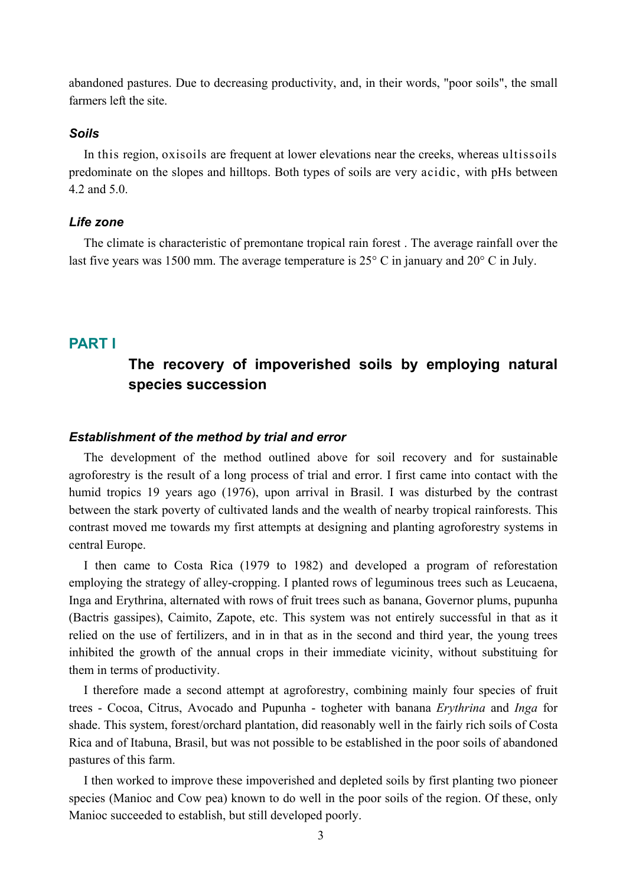abandoned pastures. Due to decreasing productivity, and, in their words, "poor soils", the small farmers left the site.

#### *Soils*

In this region, oxisoils are frequent at lower elevations near the creeks, whereas ultissoils predominate on the slopes and hilltops. Both types of soils are very acidic, with pHs between 4.2 and 5.0.

#### *Life zone*

The climate is characteristic of premontane tropical rain forest . The average rainfall over the last five years was 1500 mm. The average temperature is 25° C in january and 20° C in July.

### **PART I**

# **The recovery of impoverished soils by employing natural species succession**

#### *Establishment of the method by trial and error*

The development of the method outlined above for soil recovery and for sustainable agroforestry is the result of a long process of trial and error. I first came into contact with the humid tropics 19 years ago (1976), upon arrival in Brasil. I was disturbed by the contrast between the stark poverty of cultivated lands and the wealth of nearby tropical rainforests. This contrast moved me towards my first attempts at designing and planting agroforestry systems in central Europe.

I then came to Costa Rica (1979 to 1982) and developed a program of reforestation employing the strategy of alley-cropping. I planted rows of leguminous trees such as Leucaena, Inga and Erythrina, alternated with rows of fruit trees such as banana, Governor plums, pupunha (Bactris gassipes), Caimito, Zapote, etc. This system was not entirely successful in that as it relied on the use of fertilizers, and in in that as in the second and third year, the young trees inhibited the growth of the annual crops in their immediate vicinity, without substituing for them in terms of productivity.

I therefore made a second attempt at agroforestry, combining mainly four species of fruit trees - Cocoa, Citrus, Avocado and Pupunha - togheter with banana *Erythrina* and *Inga* for shade. This system, forest/orchard plantation, did reasonably well in the fairly rich soils of Costa Rica and of Itabuna, Brasil, but was not possible to be established in the poor soils of abandoned pastures of this farm.

I then worked to improve these impoverished and depleted soils by first planting two pioneer species (Manioc and Cow pea) known to do well in the poor soils of the region. Of these, only Manioc succeeded to establish, but still developed poorly.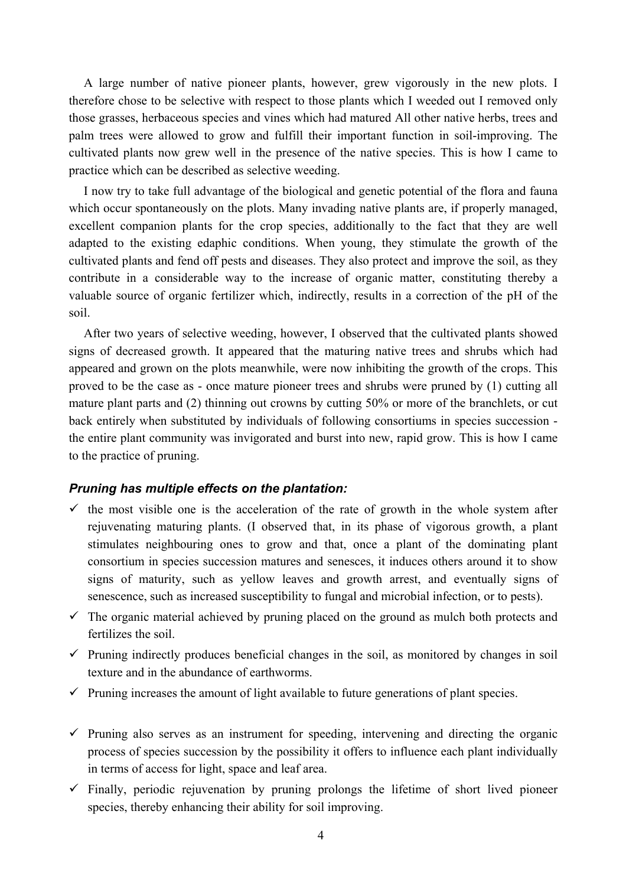A large number of native pioneer plants, however, grew vigorously in the new plots. I therefore chose to be selective with respect to those plants which I weeded out I removed only those grasses, herbaceous species and vines which had matured All other native herbs, trees and palm trees were allowed to grow and fulfill their important function in soil-improving. The cultivated plants now grew well in the presence of the native species. This is how I came to practice which can be described as selective weeding.

I now try to take full advantage of the biological and genetic potential of the flora and fauna which occur spontaneously on the plots. Many invading native plants are, if properly managed, excellent companion plants for the crop species, additionally to the fact that they are well adapted to the existing edaphic conditions. When young, they stimulate the growth of the cultivated plants and fend off pests and diseases. They also protect and improve the soil, as they contribute in a considerable way to the increase of organic matter, constituting thereby a valuable source of organic fertilizer which, indirectly, results in a correction of the pH of the soil.

After two years of selective weeding, however, I observed that the cultivated plants showed signs of decreased growth. It appeared that the maturing native trees and shrubs which had appeared and grown on the plots meanwhile, were now inhibiting the growth of the crops. This proved to be the case as - once mature pioneer trees and shrubs were pruned by (1) cutting all mature plant parts and (2) thinning out crowns by cutting 50% or more of the branchlets, or cut back entirely when substituted by individuals of following consortiums in species succession the entire plant community was invigorated and burst into new, rapid grow. This is how I came to the practice of pruning.

#### *Pruning has multiple effects on the plantation:*

- $\checkmark$  the most visible one is the acceleration of the rate of growth in the whole system after rejuvenating maturing plants. (I observed that, in its phase of vigorous growth, a plant stimulates neighbouring ones to grow and that, once a plant of the dominating plant consortium in species succession matures and senesces, it induces others around it to show signs of maturity, such as yellow leaves and growth arrest, and eventually signs of senescence, such as increased susceptibility to fungal and microbial infection, or to pests).
- $\checkmark$  The organic material achieved by pruning placed on the ground as mulch both protects and fertilizes the soil.
- $\checkmark$  Pruning indirectly produces beneficial changes in the soil, as monitored by changes in soil texture and in the abundance of earthworms.
- $\checkmark$  Pruning increases the amount of light available to future generations of plant species.
- $\checkmark$  Pruning also serves as an instrument for speeding, intervening and directing the organic process of species succession by the possibility it offers to influence each plant individually in terms of access for light, space and leaf area.
- $\checkmark$  Finally, periodic rejuvenation by pruning prolongs the lifetime of short lived pioneer species, thereby enhancing their ability for soil improving.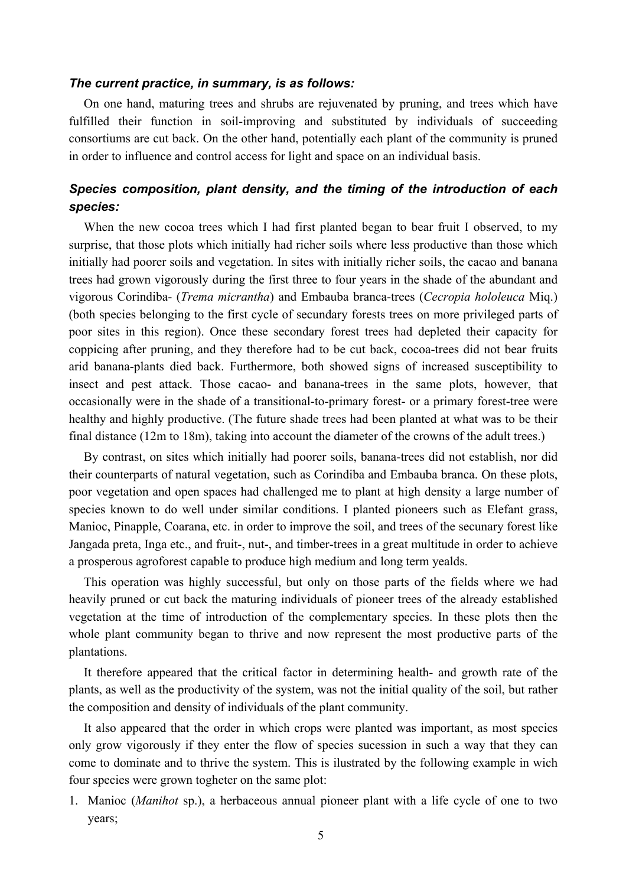#### *The current practice, in summary, is as follows:*

On one hand, maturing trees and shrubs are rejuvenated by pruning, and trees which have fulfilled their function in soil-improving and substituted by individuals of succeeding consortiums are cut back. On the other hand, potentially each plant of the community is pruned in order to influence and control access for light and space on an individual basis.

### *Species composition, plant density, and the timing of the introduction of each species:*

When the new cocoa trees which I had first planted began to bear fruit I observed, to my surprise, that those plots which initially had richer soils where less productive than those which initially had poorer soils and vegetation. In sites with initially richer soils, the cacao and banana trees had grown vigorously during the first three to four years in the shade of the abundant and vigorous Corindiba- (*Trema micrantha*) and Embauba branca-trees (*Cecropia hololeuca* Miq.) (both species belonging to the first cycle of secundary forests trees on more privileged parts of poor sites in this region). Once these secondary forest trees had depleted their capacity for coppicing after pruning, and they therefore had to be cut back, cocoa-trees did not bear fruits arid banana-plants died back. Furthermore, both showed signs of increased susceptibility to insect and pest attack. Those cacao- and banana-trees in the same plots, however, that occasionally were in the shade of a transitional-to-primary forest- or a primary forest-tree were healthy and highly productive. (The future shade trees had been planted at what was to be their final distance (12m to 18m), taking into account the diameter of the crowns of the adult trees.)

By contrast, on sites which initially had poorer soils, banana-trees did not establish, nor did their counterparts of natural vegetation, such as Corindiba and Embauba branca. On these plots, poor vegetation and open spaces had challenged me to plant at high density a large number of species known to do well under similar conditions. I planted pioneers such as Elefant grass, Manioc, Pinapple, Coarana, etc. in order to improve the soil, and trees of the secunary forest like Jangada preta, Inga etc., and fruit-, nut-, and timber-trees in a great multitude in order to achieve a prosperous agroforest capable to produce high medium and long term yealds.

This operation was highly successful, but only on those parts of the fields where we had heavily pruned or cut back the maturing individuals of pioneer trees of the already established vegetation at the time of introduction of the complementary species. In these plots then the whole plant community began to thrive and now represent the most productive parts of the plantations.

It therefore appeared that the critical factor in determining health- and growth rate of the plants, as well as the productivity of the system, was not the initial quality of the soil, but rather the composition and density of individuals of the plant community.

It also appeared that the order in which crops were planted was important, as most species only grow vigorously if they enter the flow of species sucession in such a way that they can come to dominate and to thrive the system. This is ilustrated by the following example in wich four species were grown togheter on the same plot:

1. Manioc (*Manihot* sp.), a herbaceous annual pioneer plant with a life cycle of one to two years;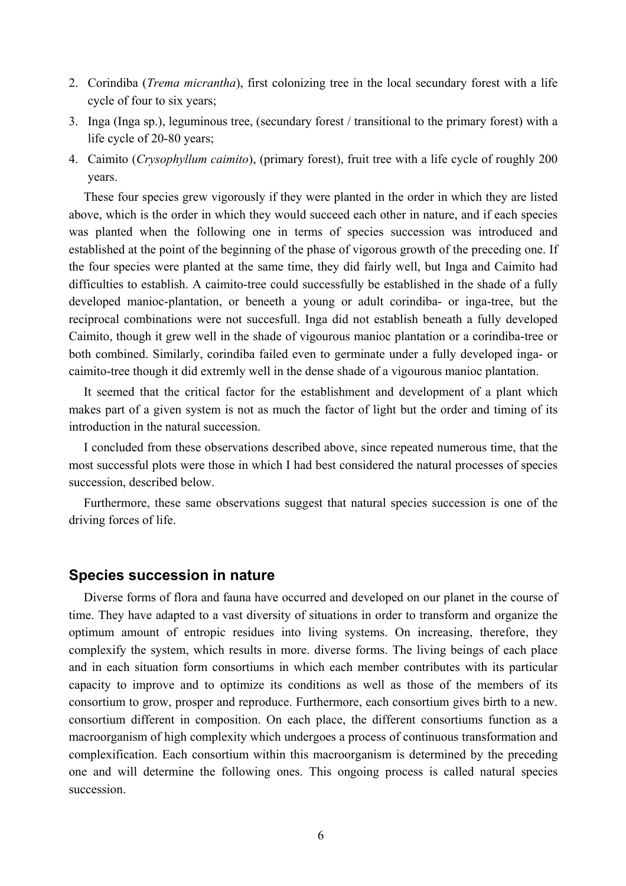- 2. Corindiba (*Trema micrantha*), first colonizing tree in the local secundary forest with a life cycle of four to six years;
- 3. Inga (Inga sp.), leguminous tree, (secundary forest / transitional to the primary forest) with a life cycle of 20-80 years;
- 4. Caimito (*Crysophyllum caimito*), (primary forest), fruit tree with a life cycle of roughly 200 years.

These four species grew vigorously if they were planted in the order in which they are listed above, which is the order in which they would succeed each other in nature, and if each species was planted when the following one in terms of species succession was introduced and established at the point of the beginning of the phase of vigorous growth of the preceding one. If the four species were planted at the same time, they did fairly well, but Inga and Caimito had difficulties to establish. A caimito-tree could successfully be established in the shade of a fully developed manioc-plantation, or beneeth a young or adult corindiba- or inga-tree, but the reciprocal combinations were not succesfull. Inga did not establish beneath a fully developed Caimito, though it grew well in the shade of vigourous manioc plantation or a corindiba-tree or both combined. Similarly, corindiba failed even to germinate under a fully developed inga- or caimito-tree though it did extremly well in the dense shade of a vigourous manioc plantation.

It seemed that the critical factor for the establishment and development of a plant which makes part of a given system is not as much the factor of light but the order and timing of its introduction in the natural succession.

I concluded from these observations described above, since repeated numerous time, that the most successful plots were those in which I had best considered the natural processes of species succession, described below.

Furthermore, these same observations suggest that natural species succession is one of the driving forces of life.

### **Species succession in nature**

Diverse forms of flora and fauna have occurred and developed on our planet in the course of time. They have adapted to a vast diversity of situations in order to transform and organize the optimum amount of entropic residues into living systems. On increasing, therefore, they complexify the system, which results in more. diverse forms. The living beings of each place and in each situation form consortiums in which each member contributes with its particular capacity to improve and to optimize its conditions as well as those of the members of its consortium to grow, prosper and reproduce. Furthermore, each consortium gives birth to a new. consortium different in composition. On each place, the different consortiums function as a macroorganism of high complexity which undergoes a process of continuous transformation and complexification. Each consortium within this macroorganism is determined by the preceding one and will determine the following ones. This ongoing process is called natural species succession.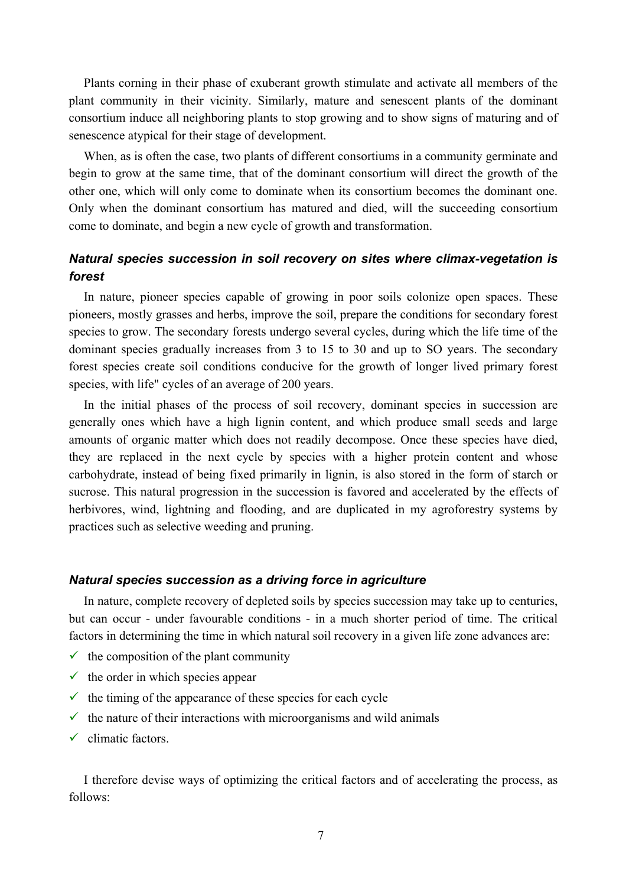Plants corning in their phase of exuberant growth stimulate and activate all members of the plant community in their vicinity. Similarly, mature and senescent plants of the dominant consortium induce all neighboring plants to stop growing and to show signs of maturing and of senescence atypical for their stage of development.

When, as is often the case, two plants of different consortiums in a community germinate and begin to grow at the same time, that of the dominant consortium will direct the growth of the other one, which will only come to dominate when its consortium becomes the dominant one. Only when the dominant consortium has matured and died, will the succeeding consortium come to dominate, and begin a new cycle of growth and transformation.

# *Natural species succession in soil recovery on sites where climax-vegetation is forest*

In nature, pioneer species capable of growing in poor soils colonize open spaces. These pioneers, mostly grasses and herbs, improve the soil, prepare the conditions for secondary forest species to grow. The secondary forests undergo several cycles, during which the life time of the dominant species gradually increases from 3 to 15 to 30 and up to SO years. The secondary forest species create soil conditions conducive for the growth of longer lived primary forest species, with life" cycles of an average of 200 years.

In the initial phases of the process of soil recovery, dominant species in succession are generally ones which have a high lignin content, and which produce small seeds and large amounts of organic matter which does not readily decompose. Once these species have died, they are replaced in the next cycle by species with a higher protein content and whose carbohydrate, instead of being fixed primarily in lignin, is also stored in the form of starch or sucrose. This natural progression in the succession is favored and accelerated by the effects of herbivores, wind, lightning and flooding, and are duplicated in my agroforestry systems by practices such as selective weeding and pruning.

#### *Natural species succession as a driving force in agriculture*

In nature, complete recovery of depleted soils by species succession may take up to centuries, but can occur - under favourable conditions - in a much shorter period of time. The critical factors in determining the time in which natural soil recovery in a given life zone advances are:

- $\checkmark$  the composition of the plant community
- $\checkmark$  the order in which species appear
- $\checkmark$  the timing of the appearance of these species for each cycle
- $\checkmark$  the nature of their interactions with microorganisms and wild animals
- $\checkmark$  climatic factors.

I therefore devise ways of optimizing the critical factors and of accelerating the process, as follows: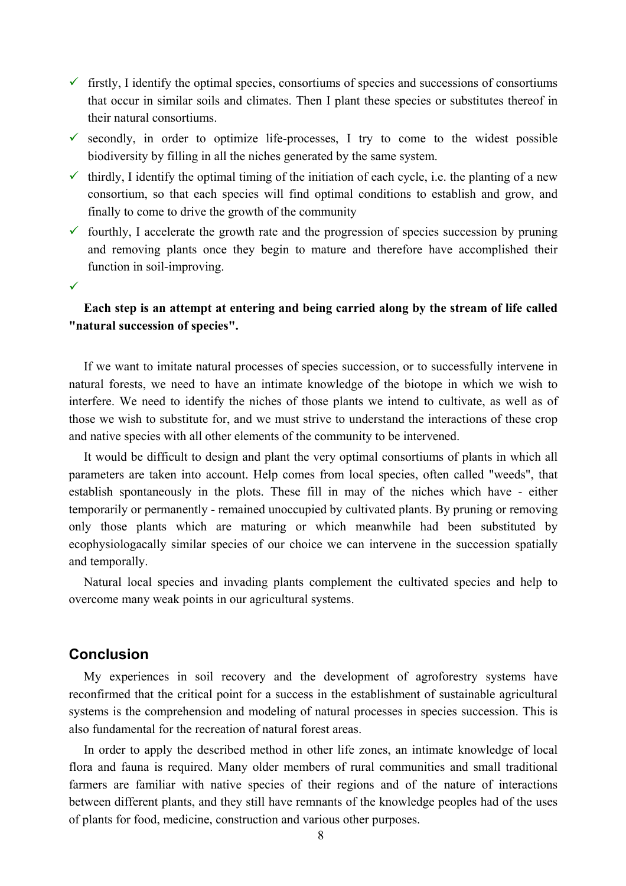- $\checkmark$  firstly, I identify the optimal species, consortiums of species and successions of consortiums that occur in similar soils and climates. Then I plant these species or substitutes thereof in their natural consortiums.
- $\checkmark$  secondly, in order to optimize life-processes, I try to come to the widest possible biodiversity by filling in all the niches generated by the same system.
- $\checkmark$  thirdly, I identify the optimal timing of the initiation of each cycle, i.e. the planting of a new consortium, so that each species will find optimal conditions to establish and grow, and finally to come to drive the growth of the community
- $\checkmark$  fourthly, I accelerate the growth rate and the progression of species succession by pruning and removing plants once they begin to mature and therefore have accomplished their function in soil-improving.
- $\checkmark$

# **Each step is an attempt at entering and being carried along by the stream of life called "natural succession of species".**

If we want to imitate natural processes of species succession, or to successfully intervene in natural forests, we need to have an intimate knowledge of the biotope in which we wish to interfere. We need to identify the niches of those plants we intend to cultivate, as well as of those we wish to substitute for, and we must strive to understand the interactions of these crop and native species with all other elements of the community to be intervened.

It would be difficult to design and plant the very optimal consortiums of plants in which all parameters are taken into account. Help comes from local species, often called "weeds", that establish spontaneously in the plots. These fill in may of the niches which have - either temporarily or permanently - remained unoccupied by cultivated plants. By pruning or removing only those plants which are maturing or which meanwhile had been substituted by ecophysiologacally similar species of our choice we can intervene in the succession spatially and temporally.

Natural local species and invading plants complement the cultivated species and help to overcome many weak points in our agricultural systems.

# **Conclusion**

My experiences in soil recovery and the development of agroforestry systems have reconfirmed that the critical point for a success in the establishment of sustainable agricultural systems is the comprehension and modeling of natural processes in species succession. This is also fundamental for the recreation of natural forest areas.

In order to apply the described method in other life zones, an intimate knowledge of local flora and fauna is required. Many older members of rural communities and small traditional farmers are familiar with native species of their regions and of the nature of interactions between different plants, and they still have remnants of the knowledge peoples had of the uses of plants for food, medicine, construction and various other purposes.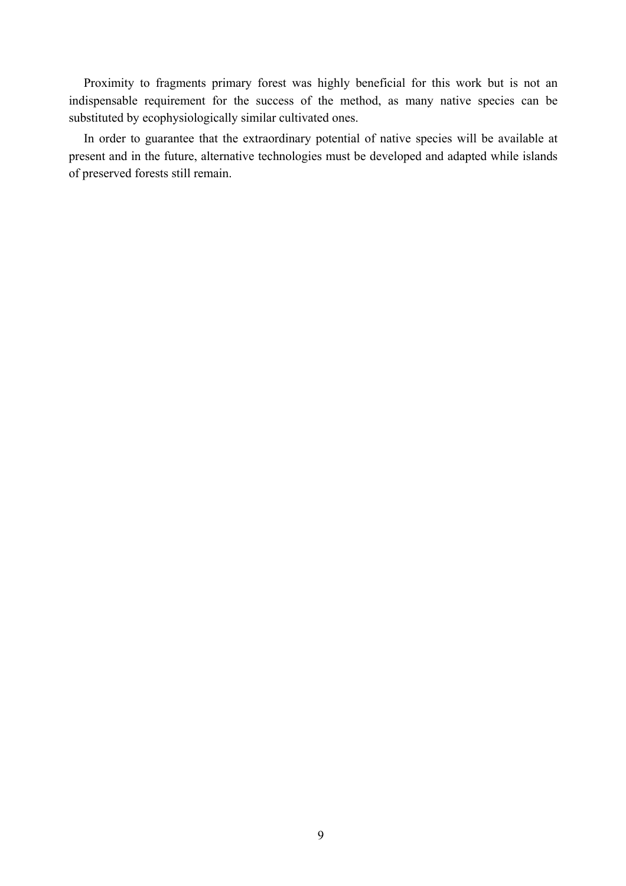Proximity to fragments primary forest was highly beneficial for this work but is not an indispensable requirement for the success of the method, as many native species can be substituted by ecophysiologically similar cultivated ones.

In order to guarantee that the extraordinary potential of native species will be available at present and in the future, alternative technologies must be developed and adapted while islands of preserved forests still remain.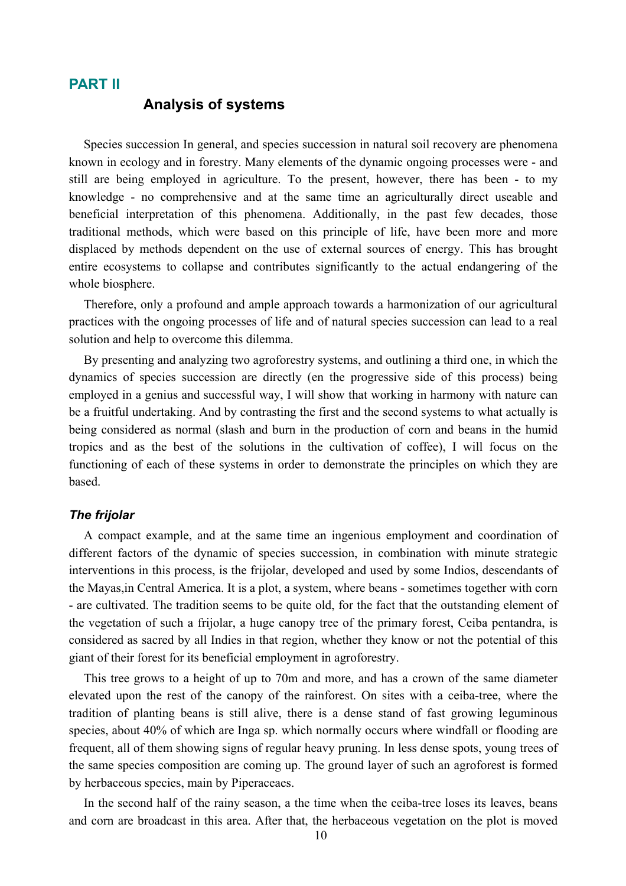#### **PART II**

# **Analysis of systems**

Species succession In general, and species succession in natural soil recovery are phenomena known in ecology and in forestry. Many elements of the dynamic ongoing processes were - and still are being employed in agriculture. To the present, however, there has been - to my knowledge - no comprehensive and at the same time an agriculturally direct useable and beneficial interpretation of this phenomena. Additionally, in the past few decades, those traditional methods, which were based on this principle of life, have been more and more displaced by methods dependent on the use of external sources of energy. This has brought entire ecosystems to collapse and contributes significantly to the actual endangering of the whole biosphere.

Therefore, only a profound and ample approach towards a harmonization of our agricultural practices with the ongoing processes of life and of natural species succession can lead to a real solution and help to overcome this dilemma.

By presenting and analyzing two agroforestry systems, and outlining a third one, in which the dynamics of species succession are directly (en the progressive side of this process) being employed in a genius and successful way, I will show that working in harmony with nature can be a fruitful undertaking. And by contrasting the first and the second systems to what actually is being considered as normal (slash and burn in the production of corn and beans in the humid tropics and as the best of the solutions in the cultivation of coffee), I will focus on the functioning of each of these systems in order to demonstrate the principles on which they are based.

#### *The frijolar*

A compact example, and at the same time an ingenious employment and coordination of different factors of the dynamic of species succession, in combination with minute strategic interventions in this process, is the frijolar, developed and used by some Indios, descendants of the Mayas,in Central America. It is a plot, a system, where beans - sometimes together with corn - are cultivated. The tradition seems to be quite old, for the fact that the outstanding element of the vegetation of such a frijolar, a huge canopy tree of the primary forest, Ceiba pentandra, is considered as sacred by all Indies in that region, whether they know or not the potential of this giant of their forest for its beneficial employment in agroforestry.

This tree grows to a height of up to 70m and more, and has a crown of the same diameter elevated upon the rest of the canopy of the rainforest. On sites with a ceiba-tree, where the tradition of planting beans is still alive, there is a dense stand of fast growing leguminous species, about 40% of which are Inga sp. which normally occurs where windfall or flooding are frequent, all of them showing signs of regular heavy pruning. In less dense spots, young trees of the same species composition are coming up. The ground layer of such an agroforest is formed by herbaceous species, main by Piperaceaes.

In the second half of the rainy season, a the time when the ceiba-tree loses its leaves, beans and corn are broadcast in this area. After that, the herbaceous vegetation on the plot is moved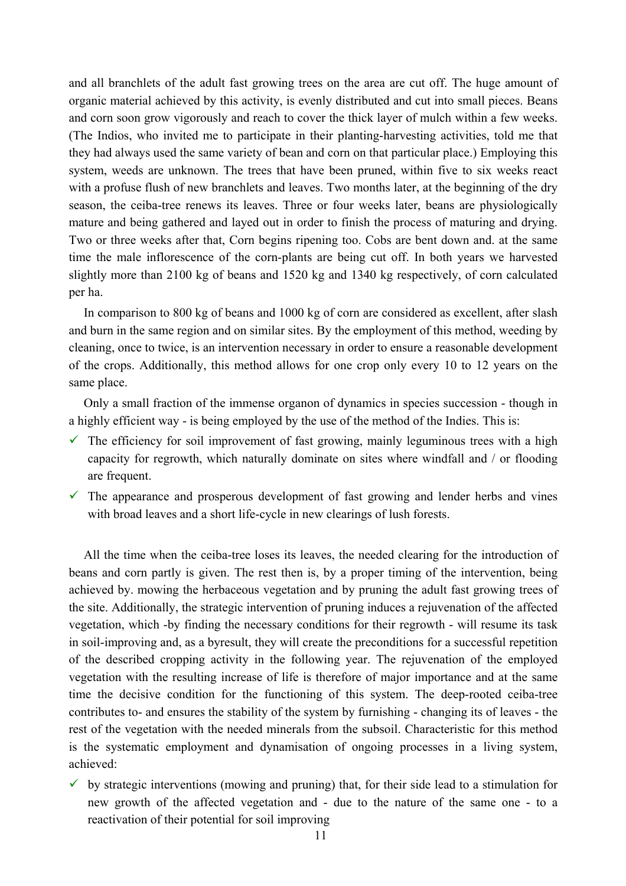and all branchlets of the adult fast growing trees on the area are cut off. The huge amount of organic material achieved by this activity, is evenly distributed and cut into small pieces. Beans and corn soon grow vigorously and reach to cover the thick layer of mulch within a few weeks. (The Indios, who invited me to participate in their planting-harvesting activities, told me that they had always used the same variety of bean and corn on that particular place.) Employing this system, weeds are unknown. The trees that have been pruned, within five to six weeks react with a profuse flush of new branchlets and leaves. Two months later, at the beginning of the dry season, the ceiba-tree renews its leaves. Three or four weeks later, beans are physiologically mature and being gathered and layed out in order to finish the process of maturing and drying. Two or three weeks after that, Corn begins ripening too. Cobs are bent down and. at the same time the male inflorescence of the corn-plants are being cut off. In both years we harvested slightly more than 2100 kg of beans and 1520 kg and 1340 kg respectively, of corn calculated per ha.

In comparison to 800 kg of beans and 1000 kg of corn are considered as excellent, after slash and burn in the same region and on similar sites. By the employment of this method, weeding by cleaning, once to twice, is an intervention necessary in order to ensure a reasonable development of the crops. Additionally, this method allows for one crop only every 10 to 12 years on the same place.

Only a small fraction of the immense organon of dynamics in species succession - though in a highly efficient way - is being employed by the use of the method of the Indies. This is:

- $\checkmark$  The efficiency for soil improvement of fast growing, mainly leguminous trees with a high capacity for regrowth, which naturally dominate on sites where windfall and / or flooding are frequent.
- $\checkmark$  The appearance and prosperous development of fast growing and lender herbs and vines with broad leaves and a short life-cycle in new clearings of lush forests.

All the time when the ceiba-tree loses its leaves, the needed clearing for the introduction of beans and corn partly is given. The rest then is, by a proper timing of the intervention, being achieved by. mowing the herbaceous vegetation and by pruning the adult fast growing trees of the site. Additionally, the strategic intervention of pruning induces a rejuvenation of the affected vegetation, which -by finding the necessary conditions for their regrowth - will resume its task in soil-improving and, as a byresult, they will create the preconditions for a successful repetition of the described cropping activity in the following year. The rejuvenation of the employed vegetation with the resulting increase of life is therefore of major importance and at the same time the decisive condition for the functioning of this system. The deep-rooted ceiba-tree contributes to- and ensures the stability of the system by furnishing - changing its of leaves - the rest of the vegetation with the needed minerals from the subsoil. Characteristic for this method is the systematic employment and dynamisation of ongoing processes in a living system, achieved:

 $\checkmark$  by strategic interventions (mowing and pruning) that, for their side lead to a stimulation for new growth of the affected vegetation and - due to the nature of the same one - to a reactivation of their potential for soil improving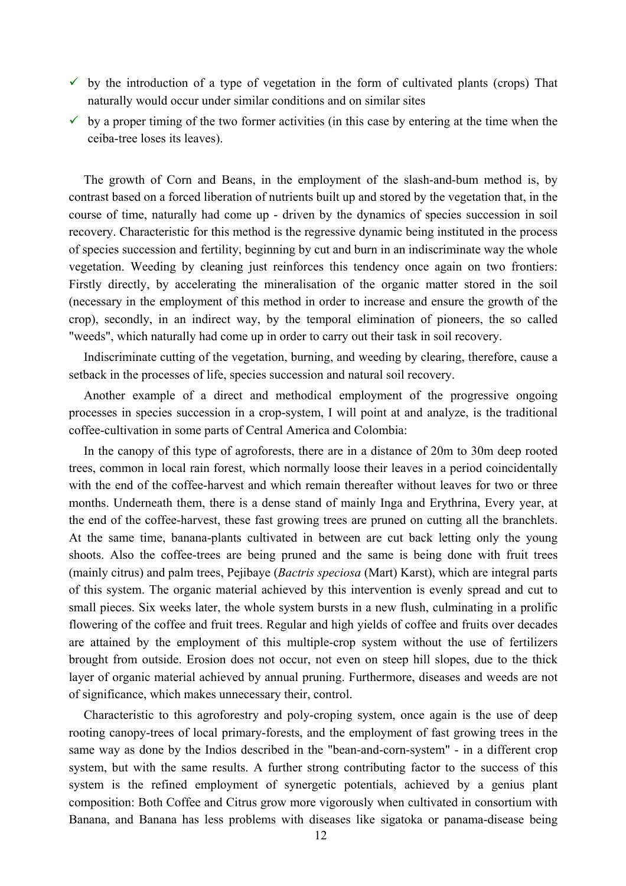- $\checkmark$  by the introduction of a type of vegetation in the form of cultivated plants (crops) That naturally would occur under similar conditions and on similar sites
- $\checkmark$  by a proper timing of the two former activities (in this case by entering at the time when the ceiba-tree loses its leaves).

The growth of Corn and Beans, in the employment of the slash-and-bum method is, by contrast based on a forced liberation of nutrients built up and stored by the vegetation that, in the course of time, naturally had come up - driven by the dynamics of species succession in soil recovery. Characteristic for this method is the regressive dynamic being instituted in the process of species succession and fertility, beginning by cut and burn in an indiscriminate way the whole vegetation. Weeding by cleaning just reinforces this tendency once again on two frontiers: Firstly directly, by accelerating the mineralisation of the organic matter stored in the soil (necessary in the employment of this method in order to increase and ensure the growth of the crop), secondly, in an indirect way, by the temporal elimination of pioneers, the so called "weeds", which naturally had come up in order to carry out their task in soil recovery.

Indiscriminate cutting of the vegetation, burning, and weeding by clearing, therefore, cause a setback in the processes of life, species succession and natural soil recovery.

Another example of a direct and methodical employment of the progressive ongoing processes in species succession in a crop-system, I will point at and analyze, is the traditional coffee-cultivation in some parts of Central America and Colombia:

In the canopy of this type of agroforests, there are in a distance of 20m to 30m deep rooted trees, common in local rain forest, which normally loose their leaves in a period coincidentally with the end of the coffee-harvest and which remain thereafter without leaves for two or three months. Underneath them, there is a dense stand of mainly Inga and Erythrina, Every year, at the end of the coffee-harvest, these fast growing trees are pruned on cutting all the branchlets. At the same time, banana-plants cultivated in between are cut back letting only the young shoots. Also the coffee-trees are being pruned and the same is being done with fruit trees (mainly citrus) and palm trees, Pejibaye (*Bactris speciosa* (Mart) Karst), which are integral parts of this system. The organic material achieved by this intervention is evenly spread and cut to small pieces. Six weeks later, the whole system bursts in a new flush, culminating in a prolific flowering of the coffee and fruit trees. Regular and high yields of coffee and fruits over decades are attained by the employment of this multiple-crop system without the use of fertilizers brought from outside. Erosion does not occur, not even on steep hill slopes, due to the thick layer of organic material achieved by annual pruning. Furthermore, diseases and weeds are not of significance, which makes unnecessary their, control.

Characteristic to this agroforestry and poly-croping system, once again is the use of deep rooting canopy-trees of local primary-forests, and the employment of fast growing trees in the same way as done by the Indios described in the "bean-and-corn-system" - in a different crop system, but with the same results. A further strong contributing factor to the success of this system is the refined employment of synergetic potentials, achieved by a genius plant composition: Both Coffee and Citrus grow more vigorously when cultivated in consortium with Banana, and Banana has less problems with diseases like sigatoka or panama-disease being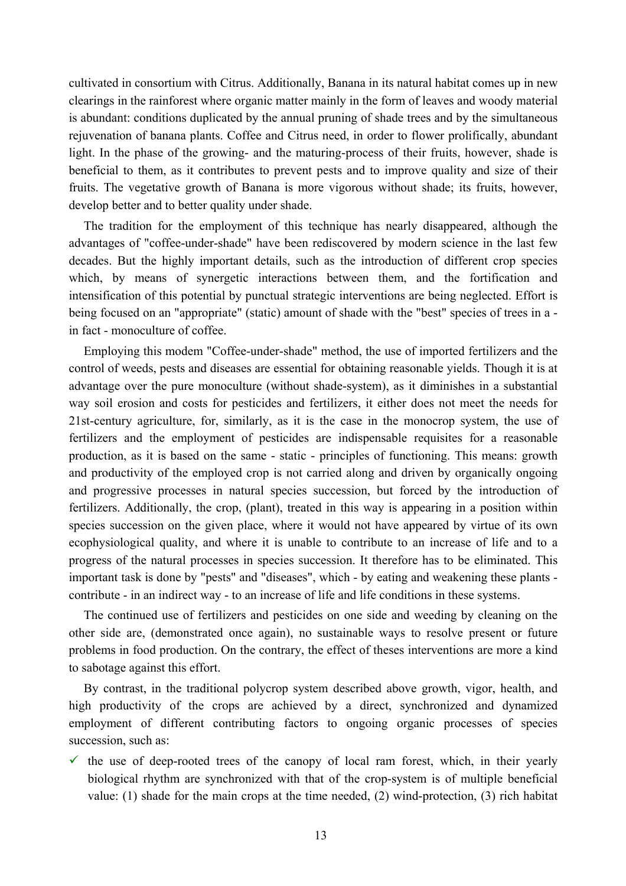cultivated in consortium with Citrus. Additionally, Banana in its natural habitat comes up in new clearings in the rainforest where organic matter mainly in the form of leaves and woody material is abundant: conditions duplicated by the annual pruning of shade trees and by the simultaneous rejuvenation of banana plants. Coffee and Citrus need, in order to flower prolifically, abundant light. In the phase of the growing- and the maturing-process of their fruits, however, shade is beneficial to them, as it contributes to prevent pests and to improve quality and size of their fruits. The vegetative growth of Banana is more vigorous without shade; its fruits, however, develop better and to better quality under shade.

The tradition for the employment of this technique has nearly disappeared, although the advantages of "coffee-under-shade" have been rediscovered by modern science in the last few decades. But the highly important details, such as the introduction of different crop species which, by means of synergetic interactions between them, and the fortification and intensification of this potential by punctual strategic interventions are being neglected. Effort is being focused on an "appropriate" (static) amount of shade with the "best" species of trees in a in fact - monoculture of coffee.

Employing this modem "Coffee-under-shade" method, the use of imported fertilizers and the control of weeds, pests and diseases are essential for obtaining reasonable yields. Though it is at advantage over the pure monoculture (without shade-system), as it diminishes in a substantial way soil erosion and costs for pesticides and fertilizers, it either does not meet the needs for 21st-century agriculture, for, similarly, as it is the case in the monocrop system, the use of fertilizers and the employment of pesticides are indispensable requisites for a reasonable production, as it is based on the same - static - principles of functioning. This means: growth and productivity of the employed crop is not carried along and driven by organically ongoing and progressive processes in natural species succession, but forced by the introduction of fertilizers. Additionally, the crop, (plant), treated in this way is appearing in a position within species succession on the given place, where it would not have appeared by virtue of its own ecophysiological quality, and where it is unable to contribute to an increase of life and to a progress of the natural processes in species succession. It therefore has to be eliminated. This important task is done by "pests" and "diseases", which - by eating and weakening these plants contribute - in an indirect way - to an increase of life and life conditions in these systems.

The continued use of fertilizers and pesticides on one side and weeding by cleaning on the other side are, (demonstrated once again), no sustainable ways to resolve present or future problems in food production. On the contrary, the effect of theses interventions are more a kind to sabotage against this effort.

By contrast, in the traditional polycrop system described above growth, vigor, health, and high productivity of the crops are achieved by a direct, synchronized and dynamized employment of different contributing factors to ongoing organic processes of species succession, such as:

 $\checkmark$  the use of deep-rooted trees of the canopy of local ram forest, which, in their yearly biological rhythm are synchronized with that of the crop-system is of multiple beneficial value: (1) shade for the main crops at the time needed, (2) wind-protection, (3) rich habitat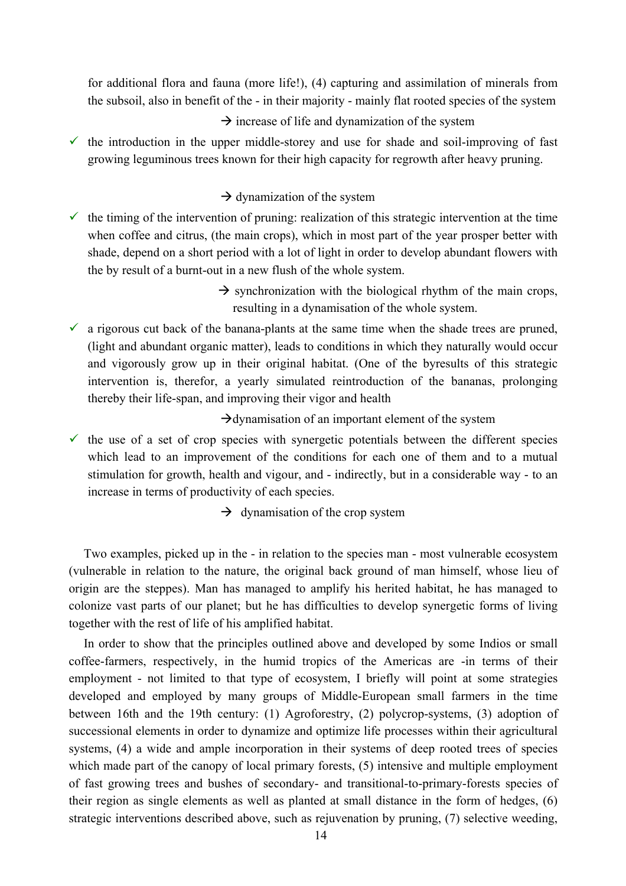for additional flora and fauna (more life!), (4) capturing and assimilation of minerals from the subsoil, also in benefit of the - in their majority - mainly flat rooted species of the system

 $\rightarrow$  increase of life and dynamization of the system

 $\checkmark$  the introduction in the upper middle-storey and use for shade and soil-improving of fast growing leguminous trees known for their high capacity for regrowth after heavy pruning.

### $\rightarrow$  dynamization of the system

- $\checkmark$  the timing of the intervention of pruning: realization of this strategic intervention at the time when coffee and citrus, (the main crops), which in most part of the year prosper better with shade, depend on a short period with a lot of light in order to develop abundant flowers with the by result of a burnt-out in a new flush of the whole system.
	- $\rightarrow$  synchronization with the biological rhythm of the main crops, resulting in a dynamisation of the whole system.
- $\checkmark$  a rigorous cut back of the banana-plants at the same time when the shade trees are pruned, (light and abundant organic matter), leads to conditions in which they naturally would occur and vigorously grow up in their original habitat. (One of the byresults of this strategic intervention is, therefor, a yearly simulated reintroduction of the bananas, prolonging thereby their life-span, and improving their vigor and health

 $\rightarrow$  dynamisation of an important element of the system

 $\checkmark$  the use of a set of crop species with synergetic potentials between the different species which lead to an improvement of the conditions for each one of them and to a mutual stimulation for growth, health and vigour, and - indirectly, but in a considerable way - to an increase in terms of productivity of each species.

 $\rightarrow$  dynamisation of the crop system

Two examples, picked up in the - in relation to the species man - most vulnerable ecosystem (vulnerable in relation to the nature, the original back ground of man himself, whose lieu of origin are the steppes). Man has managed to amplify his herited habitat, he has managed to colonize vast parts of our planet; but he has difficulties to develop synergetic forms of living together with the rest of life of his amplified habitat.

In order to show that the principles outlined above and developed by some Indios or small coffee-farmers, respectively, in the humid tropics of the Americas are -in terms of their employment - not limited to that type of ecosystem, I briefly will point at some strategies developed and employed by many groups of Middle-European small farmers in the time between 16th and the 19th century: (1) Agroforestry, (2) polycrop-systems, (3) adoption of successional elements in order to dynamize and optimize life processes within their agricultural systems, (4) a wide and ample incorporation in their systems of deep rooted trees of species which made part of the canopy of local primary forests,  $(5)$  intensive and multiple employment of fast growing trees and bushes of secondary- and transitional-to-primary-forests species of their region as single elements as well as planted at small distance in the form of hedges, (6) strategic interventions described above, such as rejuvenation by pruning, (7) selective weeding,